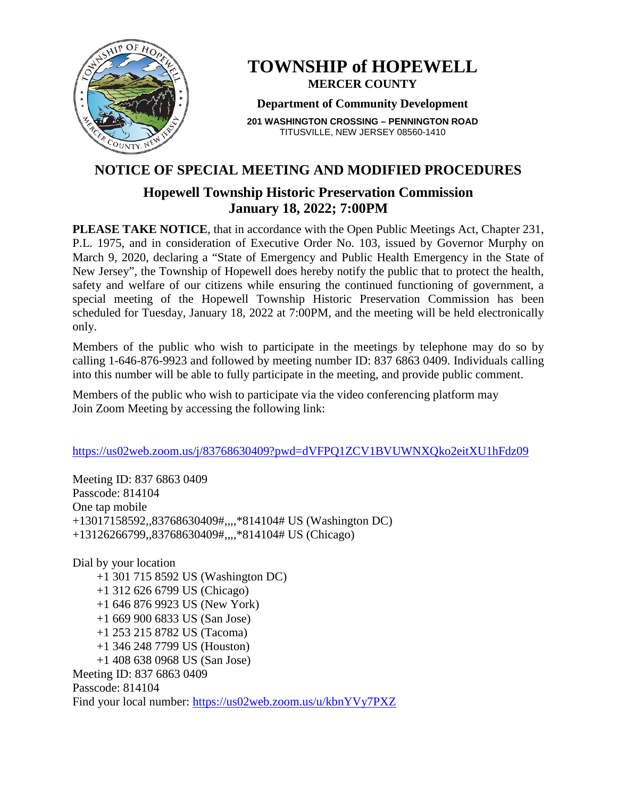

# **TOWNSHIP of HOPEWELL MERCER COUNTY**

#### **Department of Community Development**

**201 WASHINGTON CROSSING – PENNINGTON ROAD** TITUSVILLE, NEW JERSEY 08560-1410

## **NOTICE OF SPECIAL MEETING AND MODIFIED PROCEDURES**

## **Hopewell Township Historic Preservation Commission January 18, 2022; 7:00PM**

**PLEASE TAKE NOTICE**, that in accordance with the Open Public Meetings Act, Chapter 231, P.L. 1975, and in consideration of Executive Order No. 103, issued by Governor Murphy on March 9, 2020, declaring a "State of Emergency and Public Health Emergency in the State of New Jersey", the Township of Hopewell does hereby notify the public that to protect the health, safety and welfare of our citizens while ensuring the continued functioning of government, a special meeting of the Hopewell Township Historic Preservation Commission has been scheduled for Tuesday, January 18, 2022 at 7:00PM, and the meeting will be held electronically only.

Members of the public who wish to participate in the meetings by telephone may do so by calling 1-646-876-9923 and followed by meeting number ID: 837 6863 0409. Individuals calling into this number will be able to fully participate in the meeting, and provide public comment.

Members of the public who wish to participate via the video conferencing platform may Join Zoom Meeting by accessing the following link:

#### <https://us02web.zoom.us/j/83768630409?pwd=dVFPQ1ZCV1BVUWNXQko2eitXU1hFdz09>

Meeting ID: 837 6863 0409 Passcode: 814104 One tap mobile +13017158592,,83768630409#,,,,\*814104# US (Washington DC) +13126266799,,83768630409#,,,,\*814104# US (Chicago)

Dial by your location +1 301 715 8592 US (Washington DC) +1 312 626 6799 US (Chicago) +1 646 876 9923 US (New York) +1 669 900 6833 US (San Jose) +1 253 215 8782 US (Tacoma) +1 346 248 7799 US (Houston) +1 408 638 0968 US (San Jose) Meeting ID: 837 6863 0409 Passcode: 814104 Find your local number:<https://us02web.zoom.us/u/kbnYVy7PXZ>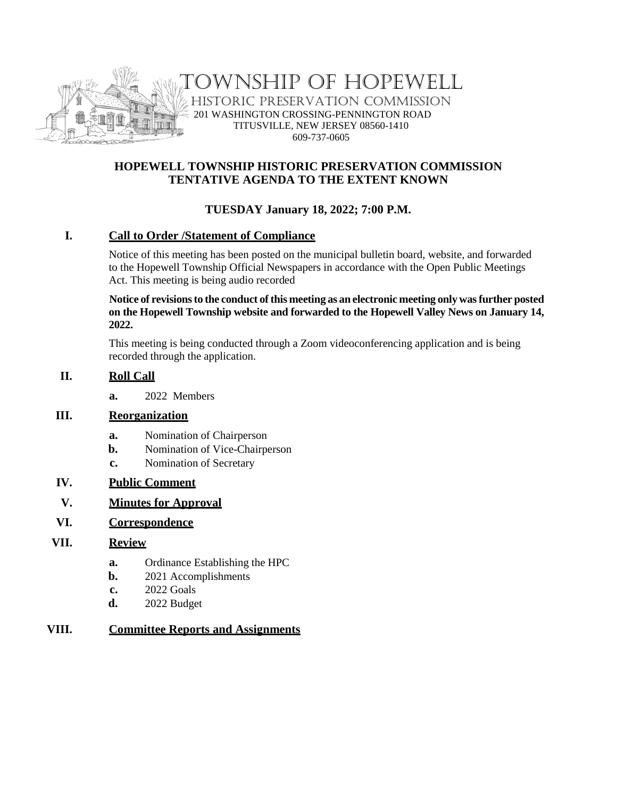

WNSHIP OF HOPEWELL HISTORIC PRESERVATION COMMISSION 201 WASHINGTON CROSSING-PENNINGTON ROAD TITUSVILLE, NEW JERSEY 08560-1410 609-737-0605

#### **HOPEWELL TOWNSHIP HISTORIC PRESERVATION COMMISSION TENTATIVE AGENDA TO THE EXTENT KNOWN**

### **TUESDAY January 18, 2022; 7:00 P.M.**

#### **I. Call to Order /Statement of Compliance**

Notice of this meeting has been posted on the municipal bulletin board, website, and forwarded to the Hopewell Township Official Newspapers in accordance with the Open Public Meetings Act. This meeting is being audio recorded

**Notice of revisions to the conduct of this meeting as an electronic meeting only was further posted on the Hopewell Township website and forwarded to the Hopewell Valley News on January 14, 2022.**

This meeting is being conducted through a Zoom videoconferencing application and is being recorded through the application.

#### **II. Roll Call**

**a.** 2022 Members

#### **III. Reorganization**

- **a.** Nomination of Chairperson
- **b.** Nomination of Vice-Chairperson
- **c.** Nomination of Secretary

#### **IV. Public Comment**

#### **V. Minutes for Approval**

#### **VI. Correspondence**

#### **VII. Review**

- **a.** Ordinance Establishing the HPC
- **b.** 2021 Accomplishments
- **c.** 2022 Goals
- **d.** 2022 Budget

#### **VIII. Committee Reports and Assignments**